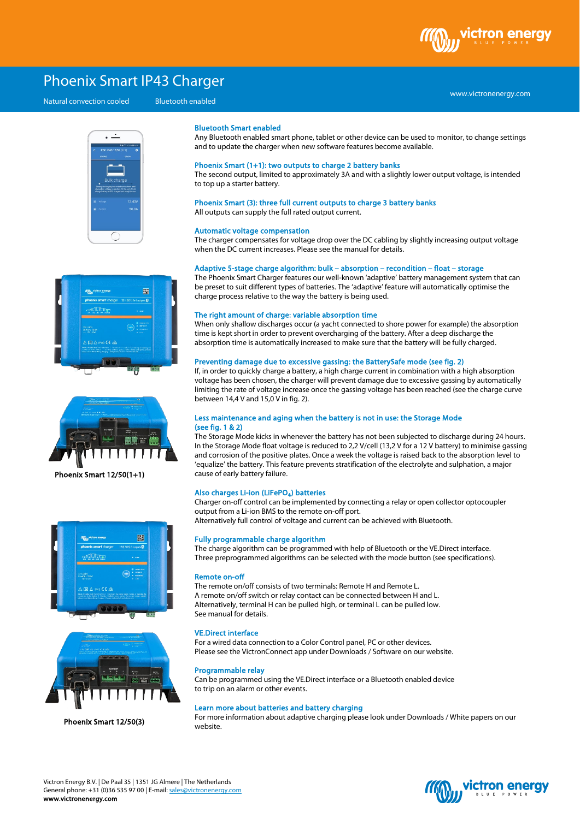

www.victronenergy.com

# Phoenix Smart IP43 Charger

Natural convection cooled Bluetooth enabled







Phoenix Smart 12/50(1+1)





Phoenix Smart 12/50(3) Phoenix Smart 12/50(3)

#### Bluetooth Smart enabled

Any Bluetooth enabled smart phone, tablet or other device can be used to monitor, to change settings and to update the charger when new software features become available.

#### Phoenix Smart (1+1): two outputs to charge 2 battery banks

The second output, limited to approximately 3A and with a slightly lower output voltage, is intended to top up a starter battery.

# Phoenix Smart (3): three full current outputs to charge 3 battery banks

All outputs can supply the full rated output current.

# Automatic voltage compensation

The charger compensates for voltage drop over the DC cabling by slightly increasing output voltage when the DC current increases. Please see the manual for details.

#### Adaptive 5-stage charge algorithm: bulk – absorption – recondition – float – storage

The Phoenix Smart Charger features our well-known 'adaptive' battery management system that can be preset to suit different types of batteries. The 'adaptive' feature will automatically optimise the charge process relative to the way the battery is being used.

# The right amount of charge: variable absorption time

When only shallow discharges occur (a yacht connected to shore power for example) the absorption time is kept short in order to prevent overcharging of the battery. After a deep discharge the absorption time is automatically increased to make sure that the battery will be fully charged.

#### Preventing damage due to excessive gassing: the BatterySafe mode (see fig. 2)

If, in order to quickly charge a battery, a high charge current in combination with a high absorption voltage has been chosen, the charger will prevent damage due to excessive gassing by automatically limiting the rate of voltage increase once the gassing voltage has been reached (see the charge curve between 14,4 V and 15,0 V in fig. 2).

#### Less maintenance and aging when the battery is not in use: the Storage Mode (see fig. 1 & 2)

The Storage Mode kicks in whenever the battery has not been subjected to discharge during 24 hours. In the Storage Mode float voltage is reduced to 2,2 V/cell (13,2 V for a 12 V battery) to minimise gassing and corrosion of the positive plates. Once a week the voltage is raised back to the absorption level to 'equalize' the battery. This feature prevents stratification of the electrolyte and sulphation, a major cause of early battery failure.

### Also charges Li-ion (LiFePO<sub>4</sub>) batteries

Charger on-off control can be implemented by connecting a relay or open collector optocoupler output from a Li-ion BMS to the remote on-off port.

Alternatively full control of voltage and current can be achieved with Bluetooth.

## Fully programmable charge algorithm

The charge algorithm can be programmed with help of Bluetooth or the VE.Direct interface. Three preprogrammed algorithms can be selected with the mode button (see specifications).

#### Remote on-off

The remote on/off consists of two terminals: Remote H and Remote L. A remote on/off switch or relay contact can be connected between H and L. Alternatively, terminal H can be pulled high, or terminal L can be pulled low. See manual for details.

#### VE.Direct interface

For a wired data connection to a Color Control panel, PC or other devices. Please see the VictronConnect app under Downloads / Software on our website.

#### Programmable relay

Can be programmed using the VE.Direct interface or a Bluetooth enabled device to trip on an alarm or other events.

#### Learn more about batteries and battery charging

For more information about adaptive charging please look under Downloads / White papers on our